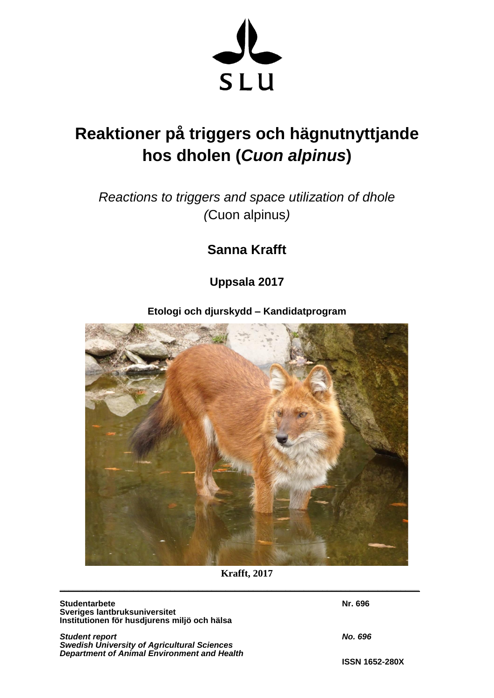

# **Reaktioner på triggers och hägnutnyttjande hos dholen (***Cuon alpinus***)**

*Reactions to triggers and space utilization of dhole (*Cuon alpinus*)* 

**Sanna Krafft** 

**Uppsala 2017** 

# **Etologi och djurskydd – Kandidatprogram**



**Krafft, 2017**

**\_\_\_\_\_\_\_\_\_\_\_\_\_\_\_\_\_\_\_\_\_\_\_\_\_\_\_\_\_\_\_\_\_\_\_\_\_\_\_\_\_\_\_\_\_\_\_\_\_\_\_\_\_\_\_\_\_\_\_\_\_\_\_\_\_\_\_\_\_\_\_\_\_\_\_\_\_\_** 

**Studentarbete** Nr. 696 **Sveriges lantbruksuniversitet Institutionen för husdjurens miljö och hälsa** 

**Student report No. 696** *Swedish University of Agricultural Sciences Department of Animal Environment and Health*

**ISSN 1652-280X**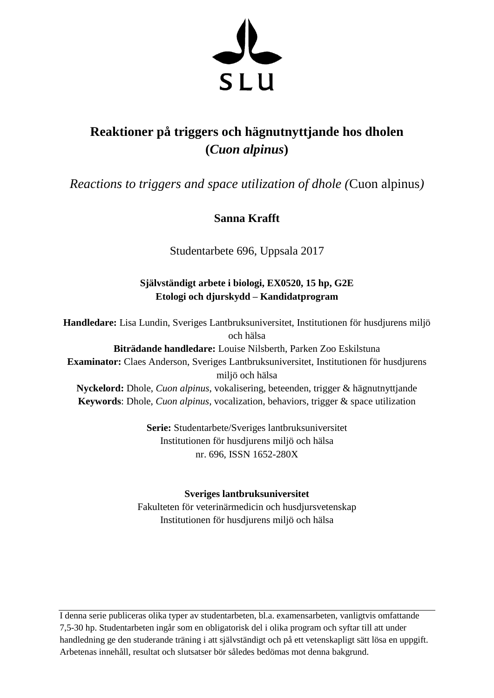

# **Reaktioner på triggers och hägnutnyttjande hos dholen (***Cuon alpinus***)**

*Reactions to triggers and space utilization of dhole (*Cuon alpinus*)* 

# **Sanna Krafft**

Studentarbete 696, Uppsala 2017

# **Självständigt arbete i biologi, EX0520, 15 hp, G2E Etologi och djurskydd – Kandidatprogram**

**Handledare:** Lisa Lundin, Sveriges Lantbruksuniversitet, Institutionen för husdjurens miljö och hälsa

**Biträdande handledare:** Louise Nilsberth, Parken Zoo Eskilstuna **Examinator:** Claes Anderson, Sveriges Lantbruksuniversitet, Institutionen för husdjurens miljö och hälsa

**Nyckelord:** Dhole, *Cuon alpinus*, vokalisering, beteenden, trigger & hägnutnyttjande **Keywords**: Dhole, *Cuon alpinus*, vocalization, behaviors, trigger & space utilization

> **Serie:** Studentarbete/Sveriges lantbruksuniversitet Institutionen för husdjurens miljö och hälsa nr. 696, ISSN 1652-280X

# **Sveriges lantbruksuniversitet**

Fakulteten för veterinärmedicin och husdjursvetenskap Institutionen för husdjurens miljö och hälsa

I denna serie publiceras olika typer av studentarbeten, bl.a. examensarbeten, vanligtvis omfattande 7,5-30 hp. Studentarbeten ingår som en obligatorisk del i olika program och syftar till att under handledning ge den studerande träning i att självständigt och på ett vetenskapligt sätt lösa en uppgift. Arbetenas innehåll, resultat och slutsatser bör således bedömas mot denna bakgrund.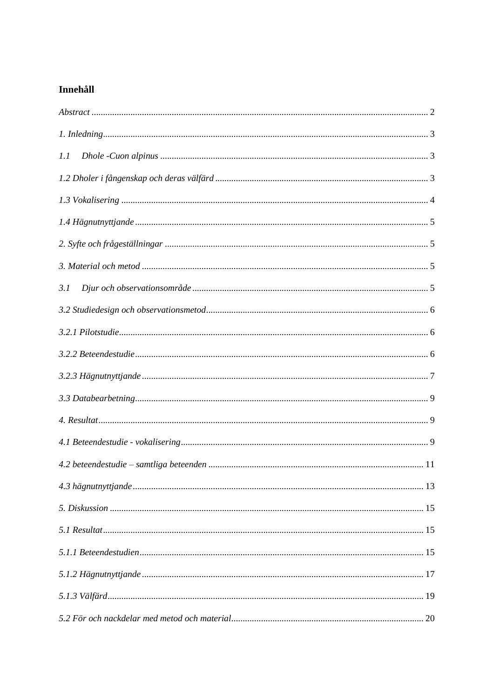# Innehåll

| 1.1 |  |
|-----|--|
|     |  |
|     |  |
|     |  |
|     |  |
|     |  |
| 3.1 |  |
|     |  |
|     |  |
|     |  |
|     |  |
|     |  |
|     |  |
|     |  |
|     |  |
|     |  |
|     |  |
|     |  |
|     |  |
|     |  |
|     |  |
|     |  |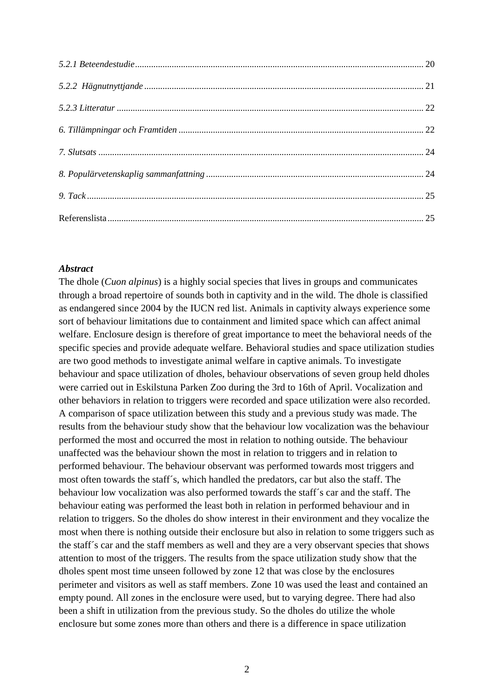## <span id="page-3-0"></span>*Abstract*

The dhole (*Cuon alpinus*) is a highly social species that lives in groups and communicates through a broad repertoire of sounds both in captivity and in the wild. The dhole is classified as endangered since 2004 by the IUCN red list. Animals in captivity always experience some sort of behaviour limitations due to containment and limited space which can affect animal welfare. Enclosure design is therefore of great importance to meet the behavioral needs of the specific species and provide adequate welfare. Behavioral studies and space utilization studies are two good methods to investigate animal welfare in captive animals. To investigate behaviour and space utilization of dholes, behaviour observations of seven group held dholes were carried out in Eskilstuna Parken Zoo during the 3rd to 16th of April. Vocalization and other behaviors in relation to triggers were recorded and space utilization were also recorded. A comparison of space utilization between this study and a previous study was made. The results from the behaviour study show that the behaviour low vocalization was the behaviour performed the most and occurred the most in relation to nothing outside. The behaviour unaffected was the behaviour shown the most in relation to triggers and in relation to performed behaviour. The behaviour observant was performed towards most triggers and most often towards the staff´s, which handled the predators, car but also the staff. The behaviour low vocalization was also performed towards the staff´s car and the staff. The behaviour eating was performed the least both in relation in performed behaviour and in relation to triggers. So the dholes do show interest in their environment and they vocalize the most when there is nothing outside their enclosure but also in relation to some triggers such as the staff´s car and the staff members as well and they are a very observant species that shows attention to most of the triggers. The results from the space utilization study show that the dholes spent most time unseen followed by zone 12 that was close by the enclosures perimeter and visitors as well as staff members. Zone 10 was used the least and contained an empty pound. All zones in the enclosure were used, but to varying degree. There had also been a shift in utilization from the previous study. So the dholes do utilize the whole enclosure but some zones more than others and there is a difference in space utilization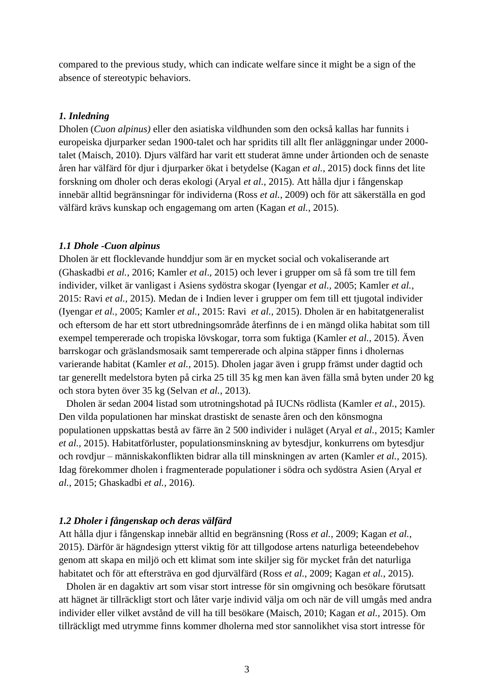compared to the previous study, which can indicate welfare since it might be a sign of the absence of stereotypic behaviors.

#### <span id="page-4-0"></span>*1. Inledning*

Dholen (*Cuon alpinus)* eller den asiatiska vildhunden som den också kallas har funnits i europeiska djurparker sedan 1900-talet och har spridits till allt fler anläggningar under 2000 talet (Maisch, 2010). Djurs välfärd har varit ett studerat ämne under årtionden och de senaste åren har välfärd för djur i djurparker ökat i betydelse (Kagan *et al.*, 2015) dock finns det lite forskning om dholer och deras ekologi (Aryal *et al.*, 2015). Att hålla djur i fångenskap innebär alltid begränsningar för individerna (Ross *et al.*, 2009) och för att säkerställa en god välfärd krävs kunskap och engagemang om arten (Kagan *et al.*, 2015).

#### <span id="page-4-1"></span>*1.1 Dhole -Cuon alpinus*

Dholen är ett flocklevande hunddjur som är en mycket social och vokaliserande art (Ghaskadbi *et al.,* 2016; Kamler *et al*., 2015) och lever i grupper om så få som tre till fem individer, vilket är vanligast i Asiens sydöstra skogar (Iyengar *et al.,* 2005; Kamler *et al.,* 2015: Ravi *et al.,* 2015). Medan de i Indien lever i grupper om fem till ett tjugotal individer (Iyengar *et al.,* 2005; Kamler *et al.,* 2015: Ravi *et al.,* 2015). Dholen är en habitatgeneralist och eftersom de har ett stort utbredningsområde återfinns de i en mängd olika habitat som till exempel tempererade och tropiska lövskogar, torra som fuktiga (Kamler *et al.,* 2015). Även barrskogar och gräslandsmosaik samt tempererade och alpina stäpper finns i dholernas varierande habitat (Kamler *et al.,* 2015). Dholen jagar även i grupp främst under dagtid och tar generellt medelstora byten på cirka 25 till 35 kg men kan även fälla små byten under 20 kg och stora byten över 35 kg (Selvan *et al.*, 2013).

 Dholen är sedan 2004 listad som utrotningshotad på IUCNs rödlista (Kamler *et al.,* 2015). Den vilda populationen har minskat drastiskt de senaste åren och den könsmogna populationen uppskattas bestå av färre än 2 500 individer i nuläget (Aryal *et al.*, 2015; Kamler *et al.,* 2015). Habitatförluster, populationsminskning av bytesdjur, konkurrens om bytesdjur och rovdjur – människakonflikten bidrar alla till minskningen av arten (Kamler *et al.,* 2015). Idag förekommer dholen i fragmenterade populationer i södra och sydöstra Asien (Aryal *et al.*, 2015; Ghaskadbi *et al.,* 2016).

#### <span id="page-4-2"></span>*1.2 Dholer i fångenskap och deras välfärd*

Att hålla djur i fångenskap innebär alltid en begränsning (Ross *et al.*, 2009; Kagan *et al.*, 2015). Därför är hägndesign ytterst viktig för att tillgodose artens naturliga beteendebehov genom att skapa en miljö och ett klimat som inte skiljer sig för mycket från det naturliga habitatet och för att eftersträva en god djurvälfärd (Ross *et al.*, 2009; Kagan *et al.*, 2015).

 Dholen är en dagaktiv art som visar stort intresse för sin omgivning och besökare förutsatt att hägnet är tillräckligt stort och låter varje individ välja om och när de vill umgås med andra individer eller vilket avstånd de vill ha till besökare (Maisch, 2010; Kagan *et al.,* 2015). Om tillräckligt med utrymme finns kommer dholerna med stor sannolikhet visa stort intresse för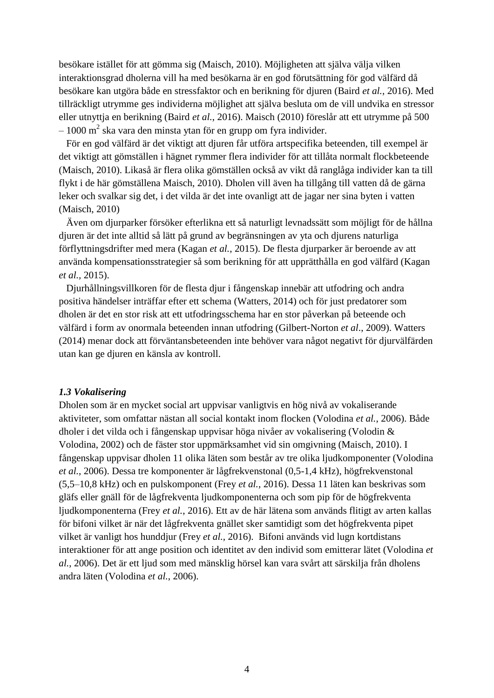besökare istället för att gömma sig (Maisch, 2010). Möjligheten att själva välja vilken interaktionsgrad dholerna vill ha med besökarna är en god förutsättning för god välfärd då besökare kan utgöra både en stressfaktor och en berikning för djuren (Baird *et al.*, 2016). Med tillräckligt utrymme ges individerna möjlighet att själva besluta om de vill undvika en stressor eller utnyttja en berikning (Baird *et al.*, 2016). Maisch (2010) föreslår att ett utrymme på 500  $-1000$  m<sup>2</sup> ska vara den minsta ytan för en grupp om fyra individer.

 För en god välfärd är det viktigt att djuren får utföra artspecifika beteenden, till exempel är det viktigt att gömställen i hägnet rymmer flera individer för att tillåta normalt flockbeteende (Maisch, 2010). Likaså är flera olika gömställen också av vikt då ranglåga individer kan ta till flykt i de här gömställena Maisch, 2010). Dholen vill även ha tillgång till vatten då de gärna leker och svalkar sig det, i det vilda är det inte ovanligt att de jagar ner sina byten i vatten (Maisch, 2010)

 Även om djurparker försöker efterlikna ett så naturligt levnadssätt som möjligt för de hållna djuren är det inte alltid så lätt på grund av begränsningen av yta och djurens naturliga förflyttningsdrifter med mera (Kagan *et al.,* 2015). De flesta djurparker är beroende av att använda kompensationsstrategier så som berikning för att upprätthålla en god välfärd (Kagan *et al.,* 2015).

 Djurhållningsvillkoren för de flesta djur i fångenskap innebär att utfodring och andra positiva händelser inträffar efter ett schema (Watters, 2014) och för just predatorer som dholen är det en stor risk att ett utfodringsschema har en stor påverkan på beteende och välfärd i form av onormala beteenden innan utfodring (Gilbert-Norton *et al*., 2009). Watters (2014) menar dock att förväntansbeteenden inte behöver vara något negativt för djurvälfärden utan kan ge djuren en känsla av kontroll.

#### <span id="page-5-0"></span>*1.3 Vokalisering*

Dholen som är en mycket social art uppvisar vanligtvis en hög nivå av vokaliserande aktiviteter, som omfattar nästan all social kontakt inom flocken (Volodina *et al.*, 2006). Både dholer i det vilda och i fångenskap uppvisar höga nivåer av vokalisering (Volodin & Volodina, 2002) och de fäster stor uppmärksamhet vid sin omgivning (Maisch, 2010). I fångenskap uppvisar dholen 11 olika läten som består av tre olika ljudkomponenter (Volodina *et al.*, 2006). Dessa tre komponenter är lågfrekvenstonal (0,5-1,4 kHz), högfrekvenstonal (5,5–10,8 kHz) och en pulskomponent (Frey *et al.*, 2016). Dessa 11 läten kan beskrivas som gläfs eller gnäll för de lågfrekventa ljudkomponenterna och som pip för de högfrekventa ljudkomponenterna (Frey *et al.*, 2016). Ett av de här lätena som används flitigt av arten kallas för bifoni vilket är när det lågfrekventa gnället sker samtidigt som det högfrekventa pipet vilket är vanligt hos hunddjur (Frey *et al.*, 2016). Bifoni används vid lugn kortdistans interaktioner för att ange position och identitet av den individ som emitterar lätet (Volodina *et al.*, 2006). Det är ett ljud som med mänsklig hörsel kan vara svårt att särskilja från dholens andra läten (Volodina *et al.*, 2006).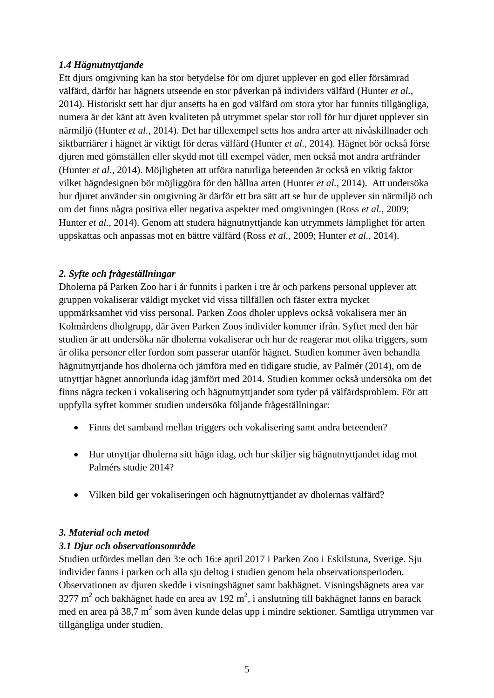# <span id="page-6-0"></span>*1.4 Hägnutnyttjande*

Ett djurs omgivning kan ha stor betydelse för om djuret upplever en god eller försämrad välfärd, därför har hägnets utseende en stor påverkan på individers välfärd (Hunter *et al.*, 2014). Historiskt sett har djur ansetts ha en god välfärd om stora ytor har funnits tillgängliga, numera är det känt att även kvaliteten på utrymmet spelar stor roll för hur djuret upplever sin närmiljö (Hunter *et al.*, 2014). Det har tillexempel setts hos andra arter att nivåskillnader och siktbarriärer i hägnet är viktigt för deras välfärd (Hunter *et al.*, 2014). Hägnet bör också förse djuren med gömställen eller skydd mot till exempel väder, men också mot andra artfränder (Hunter *et al.*, 2014). Möjligheten att utföra naturliga beteenden är också en viktig faktor vilket hägndesignen bör möjliggöra för den hållna arten (Hunter *et al.*, 2014). Att undersöka hur djuret använder sin omgivning är därför ett bra sätt att se hur de upplever sin närmiljö och om det finns några positiva eller negativa aspekter med omgivningen (Ross *et al.*, 2009; Hunter *et al.*, 2014). Genom att studera hägnutnyttjande kan utrymmets lämplighet för arten uppskattas och anpassas mot en bättre välfärd (Ross *et al.*, 2009; Hunter *et al.*, 2014).

# <span id="page-6-1"></span>*2. Syfte och frågeställningar*

Dholerna på Parken Zoo har i år funnits i parken i tre år och parkens personal upplever att gruppen vokaliserar väldigt mycket vid vissa tillfällen och fäster extra mycket uppmärksamhet vid viss personal. Parken Zoos dholer upplevs också vokalisera mer än Kolmårdens dholgrupp, där även Parken Zoos individer kommer ifrån. Syftet med den här studien är att undersöka när dholerna vokaliserar och hur de reagerar mot olika triggers, som är olika personer eller fordon som passerar utanför hägnet. Studien kommer även behandla hägnutnyttjande hos dholerna och jämföra med en tidigare studie, av Palmér (2014), om de utnyttjar hägnet annorlunda idag jämfört med 2014. Studien kommer också undersöka om det finns några tecken i vokalisering och hägnutnyttjandet som tyder på välfärdsproblem. För att uppfylla syftet kommer studien undersöka följande frågeställningar:

- Finns det samband mellan triggers och vokalisering samt andra beteenden?
- Hur utnyttjar dholerna sitt hägn idag, och hur skiljer sig hägnutnyttjandet idag mot Palmérs studie 2014?
- Vilken bild ger vokaliseringen och hägnutnyttjandet av dholernas välfärd?

# <span id="page-6-2"></span>*3. Material och metod*

# <span id="page-6-3"></span>*3.1 Djur och observationsområde*

Studien utfördes mellan den 3:e och 16:e april 2017 i Parken Zoo i Eskilstuna, Sverige. Sju individer fanns i parken och alla sju deltog i studien genom hela observationsperioden. Observationen av djuren skedde i visningshägnet samt bakhägnet. Visningshägnets area var 3277 m<sup>2</sup> och bakhägnet hade en area av 192 m<sup>2</sup>, i anslutning till bakhägnet fanns en barack med en area på 38,7 m<sup>2</sup> som även kunde delas upp i mindre sektioner. Samtliga utrymmen var tillgängliga under studien.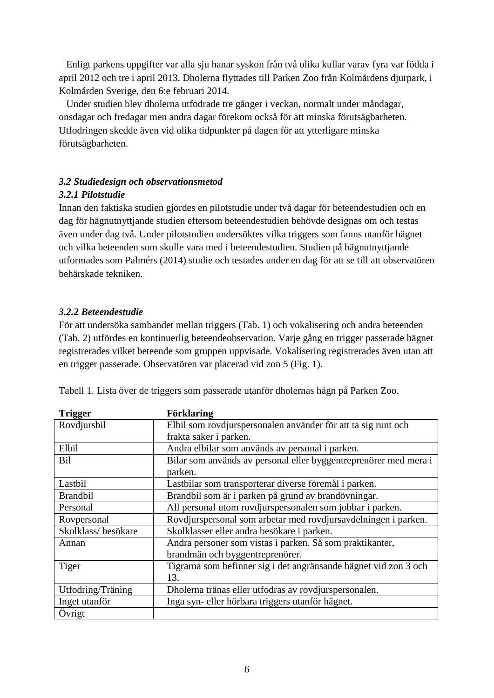Enligt parkens uppgifter var alla sju hanar syskon från två olika kullar varav fyra var födda i april 2012 och tre i april 2013. Dholerna flyttades till Parken Zoo från Kolmårdens djurpark, i Kolmården Sverige, den 6:e februari 2014.

 Under studien blev dholerna utfodrade tre gånger i veckan, normalt under måndagar, onsdagar och fredagar men andra dagar förekom också för att minska förutsägbarheten. Utfodringen skedde även vid olika tidpunkter på dagen för att ytterligare minska förutsägbarheten.

# <span id="page-7-1"></span><span id="page-7-0"></span>*3.2 Studiedesign och observationsmetod 3.2.1 Pilotstudie*

Innan den faktiska studien gjordes en pilotstudie under två dagar för beteendestudien och en dag för hägnutnyttjande studien eftersom beteendestudien behövde designas om och testas även under dag två. Under pilotstudien undersöktes vilka triggers som fanns utanför hägnet och vilka beteenden som skulle vara med i beteendestudien. Studien på hägnutnyttjande utformades som Palmérs (2014) studie och testades under en dag för att se till att observatören behärskade tekniken.

# <span id="page-7-2"></span>*3.2.2 Beteendestudie*

För att undersöka sambandet mellan triggers (Tab. 1) och vokalisering och andra beteenden (Tab. 2) utfördes en kontinuerlig beteendeobservation. Varje gång en trigger passerade hägnet registrerades vilket beteende som gruppen uppvisade. Vokalisering registrerades även utan att en trigger passerade. Observatören var placerad vid zon 5 (Fig. 1).

| <b>Trigger</b>     | <b>Förklaring</b>                                                |  |
|--------------------|------------------------------------------------------------------|--|
| Rovdjursbil        | Elbil som rovdjurspersonalen använder för att ta sig runt och    |  |
|                    | frakta saker i parken.                                           |  |
| Elbil              | Andra elbilar som används av personal i parken.                  |  |
| Bil                | Bilar som används av personal eller byggentreprenörer med mera i |  |
|                    | parken.                                                          |  |
| Lastbil            | Lastbilar som transporterar diverse föremål i parken.            |  |
| <b>Brandbil</b>    | Brandbil som är i parken på grund av brandövningar.              |  |
| Personal           | All personal utom rovdjurspersonalen som jobbar i parken.        |  |
| Rovpersonal        | Rovdjurspersonal som arbetar med rovdjursavdelningen i parken.   |  |
| Skolklass/besökare | Skolklasser eller andra besökare i parken.                       |  |
| Annan              | Andra personer som vistas i parken. Så som praktikanter,         |  |
|                    | brandmän och byggentreprenörer.                                  |  |
| Tiger              | Tigrarna som befinner sig i det angränsande hägnet vid zon 3 och |  |
|                    | 13.                                                              |  |
| Utfodring/Träning  | Dholerna tränas eller utfodras av rovdjurspersonalen.            |  |
| Inget utanför      | Inga syn- eller hörbara triggers utanför hägnet.                 |  |
| Övrigt             |                                                                  |  |

Tabell 1. Lista över de triggers som passerade utanför dholernas hägn på Parken Zoo.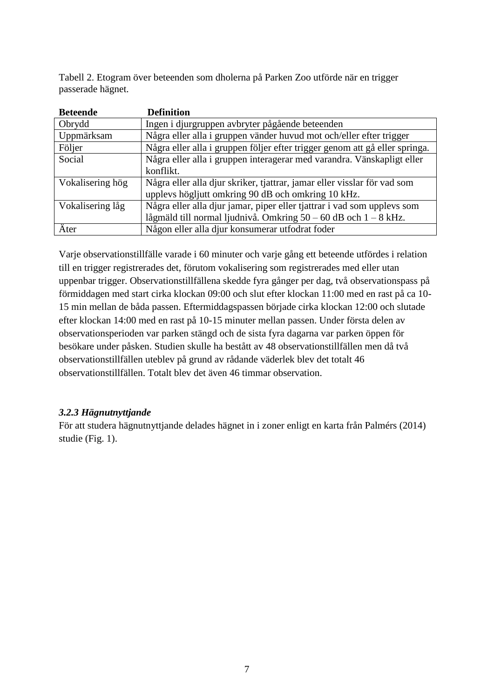Tabell 2. Etogram över beteenden som dholerna på Parken Zoo utförde när en trigger passerade hägnet.

| <b>Beteende</b>  | <b>Definition</b>                                                           |
|------------------|-----------------------------------------------------------------------------|
| Obrydd           | Ingen i djurgruppen avbryter pågående beteenden                             |
| Uppmärksam       | Några eller alla i gruppen vänder huvud mot och/eller efter trigger         |
| Följer           | Några eller alla i gruppen följer efter trigger genom att gå eller springa. |
| Social           | Några eller alla i gruppen interagerar med varandra. Vänskapligt eller      |
|                  | konflikt.                                                                   |
| Vokalisering hög | Några eller alla djur skriker, tjattrar, jamar eller visslar för vad som    |
|                  | upplevs högljutt omkring 90 dB och omkring 10 kHz.                          |
| Vokalisering låg | Några eller alla djur jamar, piper eller tjattrar i vad som upplevs som     |
|                  | lågmäld till normal ljudnivå. Omkring $50 - 60$ dB och $1 - 8$ kHz.         |
| Äter             | Någon eller alla djur konsumerar utfodrat foder                             |

Varje observationstillfälle varade i 60 minuter och varje gång ett beteende utfördes i relation till en trigger registrerades det, förutom vokalisering som registrerades med eller utan uppenbar trigger. Observationstillfällena skedde fyra gånger per dag, två observationspass på förmiddagen med start cirka klockan 09:00 och slut efter klockan 11:00 med en rast på ca 10- 15 min mellan de båda passen. Eftermiddagspassen började cirka klockan 12:00 och slutade efter klockan 14:00 med en rast på 10-15 minuter mellan passen. Under första delen av observationsperioden var parken stängd och de sista fyra dagarna var parken öppen för besökare under påsken. Studien skulle ha bestått av 48 observationstillfällen men då två observationstillfällen uteblev på grund av rådande väderlek blev det totalt 46 observationstillfällen. Totalt blev det även 46 timmar observation.

# <span id="page-8-0"></span>*3.2.3 Hägnutnyttjande*

För att studera hägnutnyttjande delades hägnet in i zoner enligt en karta från Palmérs (2014) studie (Fig. 1).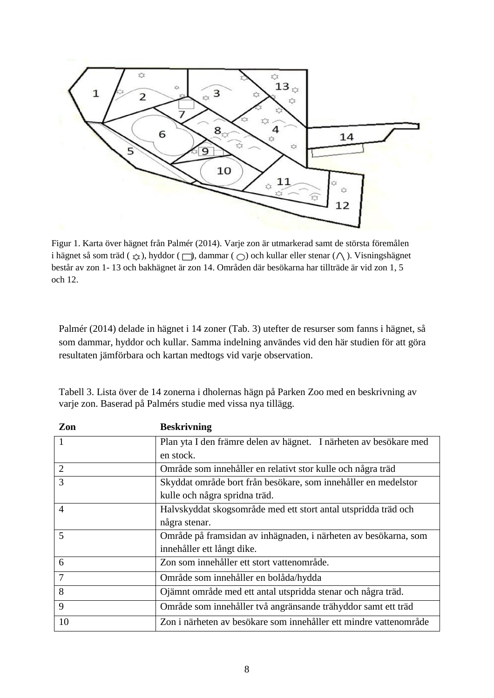

Figur 1. Karta över hägnet från Palmér (2014). Varje zon är utmarkerad samt de största föremålen i hägnet så som träd ( $\zeta$ ), hyddor ( ), dammar (  $\bigcirc$ ) och kullar eller stenar (  $\wedge$ ). Visningshägnet består av zon 1- 13 och bakhägnet är zon 14. Områden där besökarna har tillträde är vid zon 1, 5 och 12.

Palmér (2014) delade in hägnet i 14 zoner (Tab. 3) utefter de resurser som fanns i hägnet, så som dammar, hyddor och kullar. Samma indelning användes vid den här studien för att göra resultaten jämförbara och kartan medtogs vid varje observation.

| Zon            | <b>Beskrivning</b>                                                |
|----------------|-------------------------------------------------------------------|
| $\mathbf{1}$   | Plan yta I den främre delen av hägnet. I närheten av besökare med |
|                | en stock.                                                         |
| 2              | Område som innehåller en relativt stor kulle och några träd       |
| 3              | Skyddat område bort från besökare, som innehåller en medelstor    |
|                | kulle och några spridna träd.                                     |
| $\overline{A}$ | Halvskyddat skogsområde med ett stort antal utspridda träd och    |
|                | några stenar.                                                     |
| 5              | Område på framsidan av inhägnaden, i närheten av besökarna, som   |
|                | innehåller ett långt dike.                                        |
| 6              | Zon som innehåller ett stort vattenområde.                        |
| 7              | Område som innehåller en bolåda/hydda                             |
| 8              | Ojämnt område med ett antal utspridda stenar och några träd.      |
| 9              | Område som innehåller två angränsande trähyddor samt ett träd     |
| 10             | Zon i närheten av besökare som innehåller ett mindre vattenområde |

Tabell 3. Lista över de 14 zonerna i dholernas hägn på Parken Zoo med en beskrivning av varje zon. Baserad på Palmérs studie med vissa nya tillägg.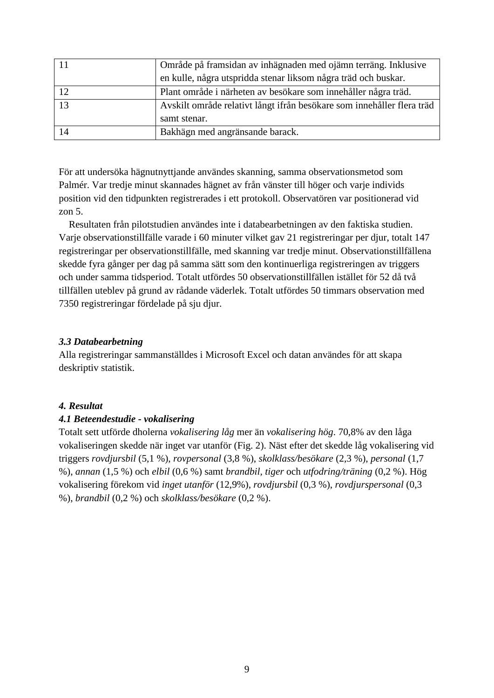|    | Område på framsidan av inhägnaden med ojämn terräng. Inklusive         |  |
|----|------------------------------------------------------------------------|--|
|    | en kulle, några utspridda stenar liksom några träd och buskar.         |  |
| 12 | Plant område i närheten av besökare som innehåller några träd.         |  |
| 12 | Avskilt område relativt långt ifrån besökare som innehåller flera träd |  |
|    | samt stenar.                                                           |  |
| 14 | Bakhägn med angränsande barack.                                        |  |

För att undersöka hägnutnyttjande användes skanning, samma observationsmetod som Palmér. Var tredje minut skannades hägnet av från vänster till höger och varje individs position vid den tidpunkten registrerades i ett protokoll. Observatören var positionerad vid zon 5.

 Resultaten från pilotstudien användes inte i databearbetningen av den faktiska studien. Varje observationstillfälle varade i 60 minuter vilket gav 21 registreringar per djur, totalt 147 registreringar per observationstillfälle, med skanning var tredje minut. Observationstillfällena skedde fyra gånger per dag på samma sätt som den kontinuerliga registreringen av triggers och under samma tidsperiod. Totalt utfördes 50 observationstillfällen istället för 52 då två tillfällen uteblev på grund av rådande väderlek. Totalt utfördes 50 timmars observation med 7350 registreringar fördelade på sju djur.

### <span id="page-10-0"></span>*3.3 Databearbetning*

Alla registreringar sammanställdes i Microsoft Excel och datan användes för att skapa deskriptiv statistik.

# <span id="page-10-1"></span>*4. Resultat*

# <span id="page-10-2"></span>*4.1 Beteendestudie - vokalisering*

Totalt sett utförde dholerna *vokalisering låg* mer än *vokalisering hög*. 70,8% av den låga vokaliseringen skedde när inget var utanför (Fig. 2). Näst efter det skedde låg vokalisering vid triggers *rovdjursbil* (5,1 %), *rovpersonal* (3,8 %), *skolklass/besökare* (2,3 %), *personal* (1,7 %), *annan* (1,5 %) och *elbil* (0,6 %) samt *brandbil, tiger* och *utfodring/träning* (0,2 %). Hög vokalisering förekom vid *inget utanför* (12,9%), *rovdjursbil* (0,3 %), *rovdjurspersonal* (0,3 %), *brandbil* (0,2 %) och *skolklass/besökare* (0,2 %).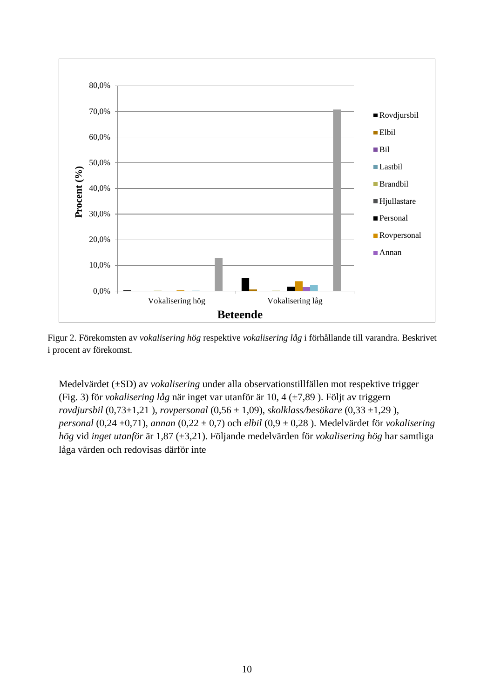

Figur 2. Förekomsten av *vokalisering hög* respektive *vokalisering låg* i förhållande till varandra. Beskrivet i procent av förekomst.

Medelvärdet (±SD) av *vokalisering* under alla observationstillfällen mot respektive trigger (Fig. 3) för *vokalisering låg* när inget var utanför är 10, 4 (±7,89 ). Följt av triggern *rovdjursbil* (0,73±1,21 ), *rovpersonal* (0,56 ± 1,09), *skolklass/besökare* (0,33 ±1,29 ), *personal* (0,24 ±0,71), *annan* (0,22 ± 0,7) och *elbil* (0,9 ± 0,28 ). Medelvärdet för *vokalisering hög* vid *inget utanför* är 1,87 (±3,21). Följande medelvärden för *vokalisering hög* har samtliga låga värden och redovisas därför inte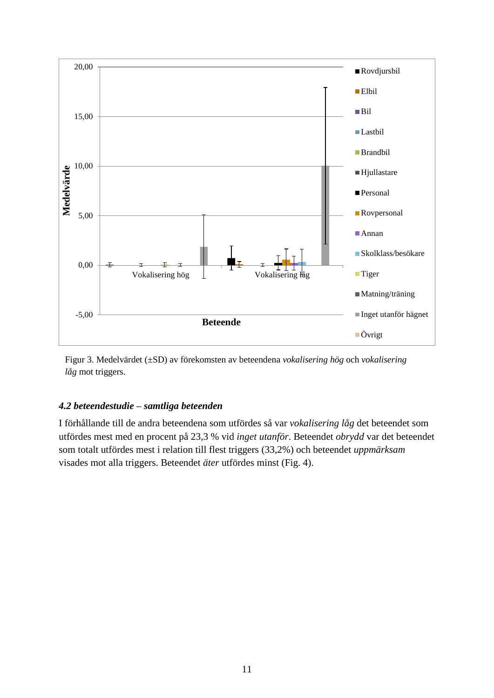

Figur 3. Medelvärdet (±SD) av förekomsten av beteendena *vokalisering hög* och *vokalisering låg* mot triggers.

# <span id="page-12-0"></span>*4.2 beteendestudie – samtliga beteenden*

I förhållande till de andra beteendena som utfördes så var *vokalisering låg* det beteendet som utfördes mest med en procent på 23,3 % vid *inget utanför*. Beteendet *obrydd* var det beteendet som totalt utfördes mest i relation till flest triggers (33,2%) och beteendet *uppmärksam* visades mot alla triggers. Beteendet *äter* utfördes minst (Fig. 4).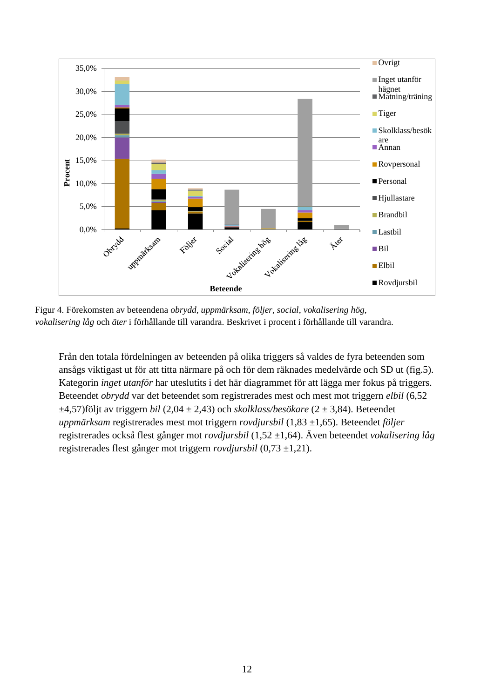

Figur 4. Förekomsten av beteendena *obrydd, uppmärksam, följer, social*, *vokalisering hög*, *vokalisering låg* och *äter* i förhållande till varandra. Beskrivet i procent i förhållande till varandra.

Från den totala fördelningen av beteenden på olika triggers så valdes de fyra beteenden som ansågs viktigast ut för att titta närmare på och för dem räknades medelvärde och SD ut (fig.5). Kategorin *inget utanför* har uteslutits i det här diagrammet för att lägga mer fokus på triggers. Beteendet *obrydd* var det beteendet som registrerades mest och mest mot triggern *elbil* (6,52 ±4,57)följt av triggern *bil* (2,04 ± 2,43) och *skolklass/besökare* (2 ± 3,84). Beteendet *uppmärksam* registrerades mest mot triggern *rovdjursbil* (1,83 ±1,65). Beteendet *följer*  registrerades också flest gånger mot *rovdjursbil* (1,52 ±1,64). Även beteendet *vokalisering låg* registrerades flest gånger mot triggern *rovdjursbil* (0,73 ±1,21).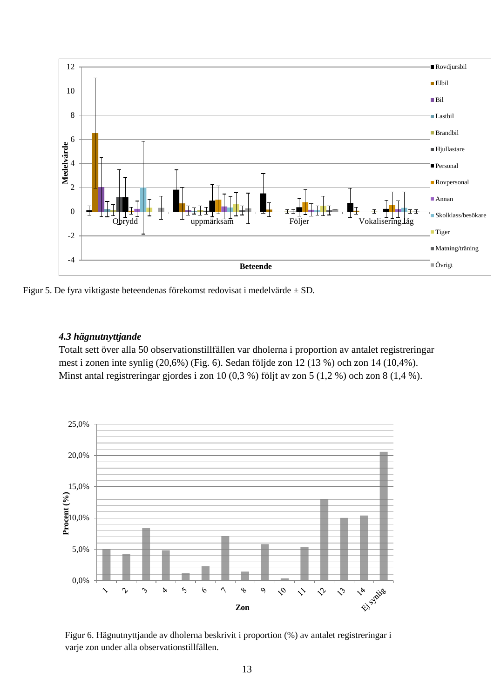

Figur 5. De fyra viktigaste beteendenas förekomst redovisat i medelvärde ± SD.

### <span id="page-14-0"></span>*4.3 hägnutnyttjande*

Totalt sett över alla 50 observationstillfällen var dholerna i proportion av antalet registreringar mest i zonen inte synlig (20,6%) (Fig. 6). Sedan följde zon 12 (13 %) och zon 14 (10,4%). Minst antal registreringar gjordes i zon 10 (0,3 %) följt av zon 5 (1,2 %) och zon 8 (1,4 %).



Figur 6. Hägnutnyttjande av dholerna beskrivit i proportion (%) av antalet registreringar i varje zon under alla observationstillfällen.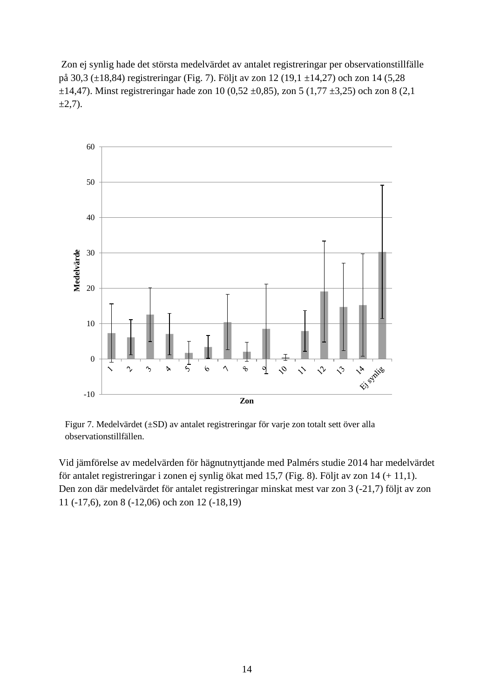Zon ej synlig hade det största medelvärdet av antalet registreringar per observationstillfälle på 30,3 (±18,84) registreringar (Fig. 7). Följt av zon 12 (19,1 ±14,27) och zon 14 (5,28  $\pm$ 14,47). Minst registreringar hade zon 10 (0,52  $\pm$ 0,85), zon 5 (1,77  $\pm$ 3,25) och zon 8 (2,1)  $\pm 2,7$ ).



Figur 7. Medelvärdet (±SD) av antalet registreringar för varje zon totalt sett över alla observationstillfällen.

Vid jämförelse av medelvärden för hägnutnyttjande med Palmérs studie 2014 har medelvärdet för antalet registreringar i zonen ej synlig ökat med 15,7 (Fig. 8). Följt av zon 14 (+ 11,1). Den zon där medelvärdet för antalet registreringar minskat mest var zon 3 (-21,7) följt av zon 11 (-17,6), zon 8 (-12,06) och zon 12 (-18,19)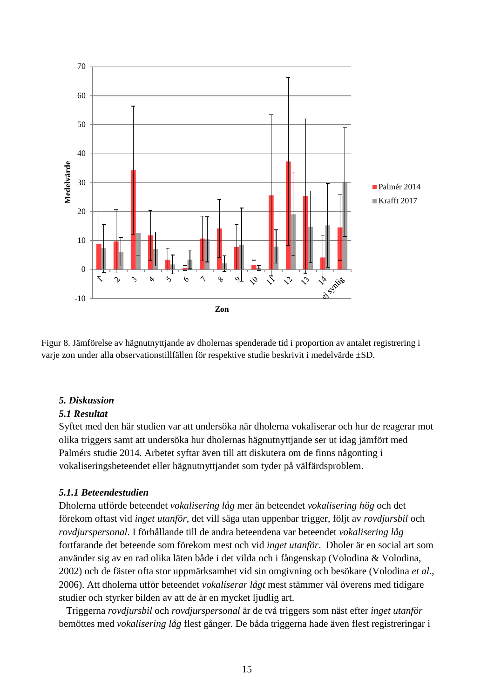

Figur 8. Jämförelse av hägnutnyttjande av dholernas spenderade tid i proportion av antalet registrering i varje zon under alla observationstillfällen för respektive studie beskrivit i medelvärde ±SD.

### <span id="page-16-0"></span>*5. Diskussion*

#### <span id="page-16-1"></span>*5.1 Resultat*

Syftet med den här studien var att undersöka när dholerna vokaliserar och hur de reagerar mot olika triggers samt att undersöka hur dholernas hägnutnyttjande ser ut idag jämfört med Palmérs studie 2014. Arbetet syftar även till att diskutera om de finns någonting i vokaliseringsbeteendet eller hägnutnyttjandet som tyder på välfärdsproblem.

### <span id="page-16-2"></span>*5.1.1 Beteendestudien*

Dholerna utförde beteendet *vokalisering låg* mer än beteendet *vokalisering hög* och det förekom oftast vid *inget utanför*, det vill säga utan uppenbar trigger, följt av *rovdjursbil* och *rovdjurspersonal*. I förhållande till de andra beteendena var beteendet *vokalisering låg* fortfarande det beteende som förekom mest och vid *inget utanför*. Dholer är en social art som använder sig av en rad olika läten både i det vilda och i fångenskap (Volodina & Volodina, 2002) och de fäster ofta stor uppmärksamhet vid sin omgivning och besökare (Volodina *et al.*, 2006). Att dholerna utför beteendet *vokaliserar lågt* mest stämmer väl överens med tidigare studier och styrker bilden av att de är en mycket ljudlig art.

 Triggerna *rovdjursbil* och *rovdjurspersonal* är de två triggers som näst efter *inget utanför* bemöttes med *vokalisering låg* flest gånger. De båda triggerna hade även flest registreringar i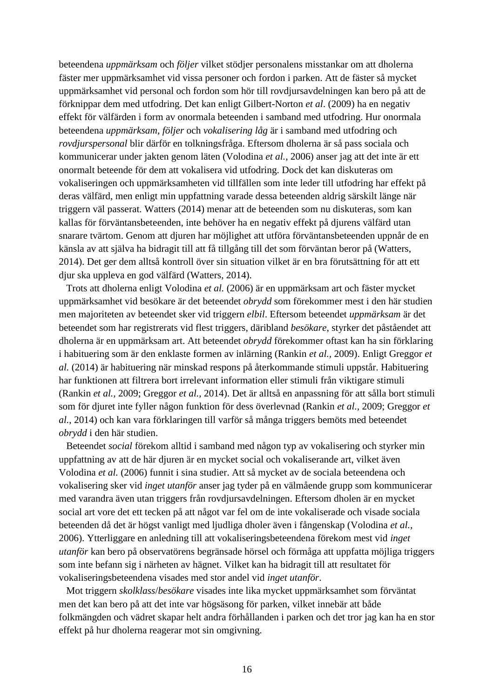beteendena *uppmärksam* och *följer* vilket stödjer personalens misstankar om att dholerna fäster mer uppmärksamhet vid vissa personer och fordon i parken. Att de fäster så mycket uppmärksamhet vid personal och fordon som hör till rovdjursavdelningen kan bero på att de förknippar dem med utfodring. Det kan enligt Gilbert-Norton *et al*. (2009) ha en negativ effekt för välfärden i form av onormala beteenden i samband med utfodring. Hur onormala beteendena *uppmärksam*, *följer* och *vokalisering låg* är i samband med utfodring och *rovdjurspersonal* blir därför en tolkningsfråga. Eftersom dholerna är så pass sociala och kommunicerar under jakten genom läten (Volodina *et al.*, 2006) anser jag att det inte är ett onormalt beteende för dem att vokalisera vid utfodring. Dock det kan diskuteras om vokaliseringen och uppmärksamheten vid tillfällen som inte leder till utfodring har effekt på deras välfärd, men enligt min uppfattning varade dessa beteenden aldrig särskilt länge när triggern väl passerat. Watters (2014) menar att de beteenden som nu diskuteras, som kan kallas för förväntansbeteenden, inte behöver ha en negativ effekt på djurens välfärd utan snarare tvärtom. Genom att djuren har möjlighet att utföra förväntansbeteenden uppnår de en känsla av att själva ha bidragit till att få tillgång till det som förväntan beror på (Watters, 2014). Det ger dem alltså kontroll över sin situation vilket är en bra förutsättning för att ett djur ska uppleva en god välfärd (Watters, 2014).

 Trots att dholerna enligt Volodina *et al.* (2006) är en uppmärksam art och fäster mycket uppmärksamhet vid besökare är det beteendet *obrydd* som förekommer mest i den här studien men majoriteten av beteendet sker vid triggern *elbil*. Eftersom beteendet *uppmärksam* är det beteendet som har registrerats vid flest triggers, däribland *besökare*, styrker det påståendet att dholerna är en uppmärksam art. Att beteendet *obrydd* förekommer oftast kan ha sin förklaring i habituering som är den enklaste formen av inlärning (Rankin *et al.,* 2009). Enligt Greggor *et al.* (2014) är habituering när minskad respons på återkommande stimuli uppstår. Habituering har funktionen att filtrera bort irrelevant information eller stimuli från viktigare stimuli (Rankin *et al.,* 2009; Greggor *et al.,* 2014). Det är alltså en anpassning för att sålla bort stimuli som för djuret inte fyller någon funktion för dess överlevnad (Rankin *et al.,* 2009; Greggor *et al.,* 2014) och kan vara förklaringen till varför så många triggers bemöts med beteendet *obrydd* i den här studien.

 Beteendet *social* förekom alltid i samband med någon typ av vokalisering och styrker min uppfattning av att de här djuren är en mycket social och vokaliserande art, vilket även Volodina *et al.* (2006) funnit i sina studier. Att så mycket av de sociala beteendena och vokalisering sker vid *inget utanför* anser jag tyder på en välmående grupp som kommunicerar med varandra även utan triggers från rovdjursavdelningen. Eftersom dholen är en mycket social art vore det ett tecken på att något var fel om de inte vokaliserade och visade sociala beteenden då det är högst vanligt med ljudliga dholer även i fångenskap (Volodina *et al.*, 2006). Ytterliggare en anledning till att vokaliseringsbeteendena förekom mest vid *inget utanför* kan bero på observatörens begränsade hörsel och förmåga att uppfatta möjliga triggers som inte befann sig i närheten av hägnet. Vilket kan ha bidragit till att resultatet för vokaliseringsbeteendena visades med stor andel vid *inget utanför*.

 Mot triggern *skolklass*/*besökare* visades inte lika mycket uppmärksamhet som förväntat men det kan bero på att det inte var högsäsong för parken, vilket innebär att både folkmängden och vädret skapar helt andra förhållanden i parken och det tror jag kan ha en stor effekt på hur dholerna reagerar mot sin omgivning.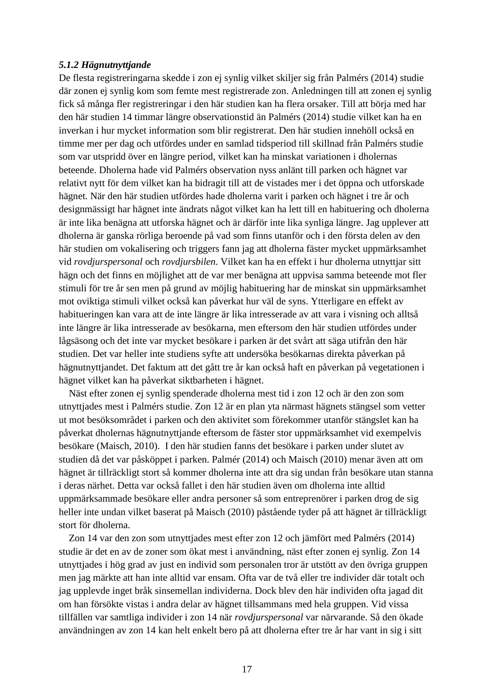#### <span id="page-18-0"></span>*5.1.2 Hägnutnyttjande*

De flesta registreringarna skedde i zon ej synlig vilket skiljer sig från Palmérs (2014) studie där zonen ej synlig kom som femte mest registrerade zon. Anledningen till att zonen ej synlig fick så många fler registreringar i den här studien kan ha flera orsaker. Till att börja med har den här studien 14 timmar längre observationstid än Palmérs (2014) studie vilket kan ha en inverkan i hur mycket information som blir registrerat. Den här studien innehöll också en timme mer per dag och utfördes under en samlad tidsperiod till skillnad från Palmérs studie som var utspridd över en längre period, vilket kan ha minskat variationen i dholernas beteende. Dholerna hade vid Palmérs observation nyss anlänt till parken och hägnet var relativt nytt för dem vilket kan ha bidragit till att de vistades mer i det öppna och utforskade hägnet. När den här studien utfördes hade dholerna varit i parken och hägnet i tre år och designmässigt har hägnet inte ändrats något vilket kan ha lett till en habituering och dholerna är inte lika benägna att utforska hägnet och är därför inte lika synliga längre. Jag upplever att dholerna är ganska rörliga beroende på vad som finns utanför och i den första delen av den här studien om vokalisering och triggers fann jag att dholerna fäster mycket uppmärksamhet vid *rovdjurspersonal* och *rovdjursbilen*. Vilket kan ha en effekt i hur dholerna utnyttjar sitt hägn och det finns en möjlighet att de var mer benägna att uppvisa samma beteende mot fler stimuli för tre år sen men på grund av möjlig habituering har de minskat sin uppmärksamhet mot oviktiga stimuli vilket också kan påverkat hur väl de syns. Ytterligare en effekt av habitueringen kan vara att de inte längre är lika intresserade av att vara i visning och alltså inte längre är lika intresserade av besökarna, men eftersom den här studien utfördes under lågsäsong och det inte var mycket besökare i parken är det svårt att säga utifrån den här studien. Det var heller inte studiens syfte att undersöka besökarnas direkta påverkan på hägnutnyttjandet. Det faktum att det gått tre år kan också haft en påverkan på vegetationen i hägnet vilket kan ha påverkat siktbarheten i hägnet.

 Näst efter zonen ej synlig spenderade dholerna mest tid i zon 12 och är den zon som utnyttjades mest i Palmérs studie. Zon 12 är en plan yta närmast hägnets stängsel som vetter ut mot besöksområdet i parken och den aktivitet som förekommer utanför stängslet kan ha påverkat dholernas hägnutnyttjande eftersom de fäster stor uppmärksamhet vid exempelvis besökare (Maisch, 2010). I den här studien fanns det besökare i parken under slutet av studien då det var påsköppet i parken. Palmér (2014) och Maisch (2010) menar även att om hägnet är tillräckligt stort så kommer dholerna inte att dra sig undan från besökare utan stanna i deras närhet. Detta var också fallet i den här studien även om dholerna inte alltid uppmärksammade besökare eller andra personer så som entreprenörer i parken drog de sig heller inte undan vilket baserat på Maisch (2010) påstående tyder på att hägnet är tillräckligt stort för dholerna.

 Zon 14 var den zon som utnyttjades mest efter zon 12 och jämfört med Palmérs (2014) studie är det en av de zoner som ökat mest i användning, näst efter zonen ej synlig. Zon 14 utnyttjades i hög grad av just en individ som personalen tror är utstött av den övriga gruppen men jag märkte att han inte alltid var ensam. Ofta var de två eller tre individer där totalt och jag upplevde inget bråk sinsemellan individerna. Dock blev den här individen ofta jagad dit om han försökte vistas i andra delar av hägnet tillsammans med hela gruppen. Vid vissa tillfällen var samtliga individer i zon 14 när *rovdjurspersonal* var närvarande. Så den ökade användningen av zon 14 kan helt enkelt bero på att dholerna efter tre år har vant in sig i sitt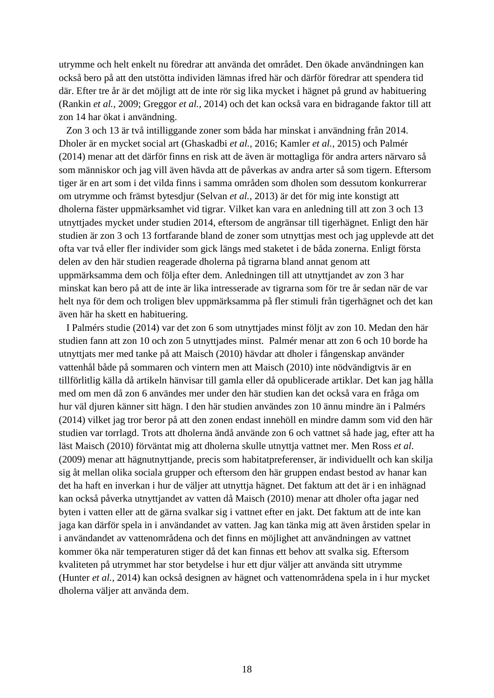utrymme och helt enkelt nu föredrar att använda det området. Den ökade användningen kan också bero på att den utstötta individen lämnas ifred här och därför föredrar att spendera tid där. Efter tre år är det möjligt att de inte rör sig lika mycket i hägnet på grund av habituering (Rankin *et al.,* 2009; Greggor *et al.,* 2014) och det kan också vara en bidragande faktor till att zon 14 har ökat i användning.

 Zon 3 och 13 är två intilliggande zoner som båda har minskat i användning från 2014. Dholer är en mycket social art (Ghaskadbi *et al.,* 2016; Kamler *et al.,* 2015) och Palmér (2014) menar att det därför finns en risk att de även är mottagliga för andra arters närvaro så som människor och jag vill även hävda att de påverkas av andra arter så som tigern. Eftersom tiger är en art som i det vilda finns i samma områden som dholen som dessutom konkurrerar om utrymme och främst bytesdjur (Selvan *et al.*, 2013) är det för mig inte konstigt att dholerna fäster uppmärksamhet vid tigrar. Vilket kan vara en anledning till att zon 3 och 13 utnyttjades mycket under studien 2014, eftersom de angränsar till tigerhägnet. Enligt den här studien är zon 3 och 13 fortfarande bland de zoner som utnyttjas mest och jag upplevde att det ofta var två eller fler individer som gick längs med staketet i de båda zonerna. Enligt första delen av den här studien reagerade dholerna på tigrarna bland annat genom att uppmärksamma dem och följa efter dem. Anledningen till att utnyttjandet av zon 3 har minskat kan bero på att de inte är lika intresserade av tigrarna som för tre år sedan när de var helt nya för dem och troligen blev uppmärksamma på fler stimuli från tigerhägnet och det kan även här ha skett en habituering.

 I Palmérs studie (2014) var det zon 6 som utnyttjades minst följt av zon 10. Medan den här studien fann att zon 10 och zon 5 utnyttjades minst. Palmér menar att zon 6 och 10 borde ha utnyttjats mer med tanke på att Maisch (2010) hävdar att dholer i fångenskap använder vattenhål både på sommaren och vintern men att Maisch (2010) inte nödvändigtvis är en tillförlitlig källa då artikeln hänvisar till gamla eller då opublicerade artiklar. Det kan jag hålla med om men då zon 6 användes mer under den här studien kan det också vara en fråga om hur väl djuren känner sitt hägn. I den här studien användes zon 10 ännu mindre än i Palmérs (2014) vilket jag tror beror på att den zonen endast innehöll en mindre damm som vid den här studien var torrlagd. Trots att dholerna ändå använde zon 6 och vattnet så hade jag, efter att ha läst Maisch (2010) förväntat mig att dholerna skulle utnyttja vattnet mer. Men Ross *et al*. (2009) menar att hägnutnyttjande, precis som habitatpreferenser, är individuellt och kan skilja sig åt mellan olika sociala grupper och eftersom den här gruppen endast bestod av hanar kan det ha haft en inverkan i hur de väljer att utnyttja hägnet. Det faktum att det är i en inhägnad kan också påverka utnyttjandet av vatten då Maisch (2010) menar att dholer ofta jagar ned byten i vatten eller att de gärna svalkar sig i vattnet efter en jakt. Det faktum att de inte kan jaga kan därför spela in i användandet av vatten. Jag kan tänka mig att även årstiden spelar in i användandet av vattenområdena och det finns en möjlighet att användningen av vattnet kommer öka när temperaturen stiger då det kan finnas ett behov att svalka sig. Eftersom kvaliteten på utrymmet har stor betydelse i hur ett djur väljer att använda sitt utrymme (Hunter *et al.*, 2014) kan också designen av hägnet och vattenområdena spela in i hur mycket dholerna väljer att använda dem.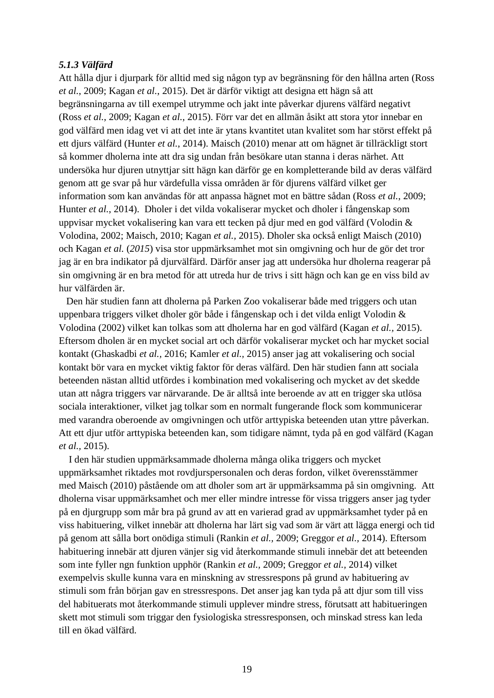#### <span id="page-20-0"></span>*5.1.3 Välfärd*

Att hålla djur i djurpark för alltid med sig någon typ av begränsning för den hållna arten (Ross *et al.*, 2009; Kagan *et al.*, 2015). Det är därför viktigt att designa ett hägn så att begränsningarna av till exempel utrymme och jakt inte påverkar djurens välfärd negativt (Ross *et al.*, 2009; Kagan *et al.*, 2015). Förr var det en allmän åsikt att stora ytor innebar en god välfärd men idag vet vi att det inte är ytans kvantitet utan kvalitet som har störst effekt på ett djurs välfärd (Hunter *et al.*, 2014). Maisch (2010) menar att om hägnet är tillräckligt stort så kommer dholerna inte att dra sig undan från besökare utan stanna i deras närhet. Att undersöka hur djuren utnyttjar sitt hägn kan därför ge en kompletterande bild av deras välfärd genom att ge svar på hur värdefulla vissa områden är för djurens välfärd vilket ger information som kan användas för att anpassa hägnet mot en bättre sådan (Ross *et al.*, 2009; Hunter *et al.*, 2014). Dholer i det vilda vokaliserar mycket och dholer i fångenskap som uppvisar mycket vokalisering kan vara ett tecken på djur med en god välfärd (Volodin & Volodina, 2002; Maisch, 2010; Kagan *et al.,* 2015). Dholer ska också enligt Maisch (2010) och Kagan *et al.* (*2015*) visa stor uppmärksamhet mot sin omgivning och hur de gör det tror jag är en bra indikator på djurvälfärd. Därför anser jag att undersöka hur dholerna reagerar på sin omgivning är en bra metod för att utreda hur de trivs i sitt hägn och kan ge en viss bild av hur välfärden är.

 Den här studien fann att dholerna på Parken Zoo vokaliserar både med triggers och utan uppenbara triggers vilket dholer gör både i fångenskap och i det vilda enligt Volodin & Volodina (2002) vilket kan tolkas som att dholerna har en god välfärd (Kagan *et al.,* 2015). Eftersom dholen är en mycket social art och därför vokaliserar mycket och har mycket social kontakt (Ghaskadbi *et al.,* 2016; Kamler *et al.,* 2015) anser jag att vokalisering och social kontakt bör vara en mycket viktig faktor för deras välfärd. Den här studien fann att sociala beteenden nästan alltid utfördes i kombination med vokalisering och mycket av det skedde utan att några triggers var närvarande. De är alltså inte beroende av att en trigger ska utlösa sociala interaktioner, vilket jag tolkar som en normalt fungerande flock som kommunicerar med varandra oberoende av omgivningen och utför arttypiska beteenden utan yttre påverkan. Att ett djur utför arttypiska beteenden kan, som tidigare nämnt, tyda på en god välfärd (Kagan *et al.,* 2015).

 I den här studien uppmärksammade dholerna många olika triggers och mycket uppmärksamhet riktades mot rovdjurspersonalen och deras fordon, vilket överensstämmer med Maisch (2010) påstående om att dholer som art är uppmärksamma på sin omgivning. Att dholerna visar uppmärksamhet och mer eller mindre intresse för vissa triggers anser jag tyder på en djurgrupp som mår bra på grund av att en varierad grad av uppmärksamhet tyder på en viss habituering, vilket innebär att dholerna har lärt sig vad som är värt att lägga energi och tid på genom att sålla bort onödiga stimuli (Rankin *et al.,* 2009; Greggor *et al.,* 2014). Eftersom habituering innebär att djuren vänjer sig vid återkommande stimuli innebär det att beteenden som inte fyller ngn funktion upphör (Rankin *et al.,* 2009; Greggor *et al.,* 2014) vilket exempelvis skulle kunna vara en minskning av stressrespons på grund av habituering av stimuli som från början gav en stressrespons. Det anser jag kan tyda på att djur som till viss del habituerats mot återkommande stimuli upplever mindre stress, förutsatt att habitueringen skett mot stimuli som triggar den fysiologiska stressresponsen, och minskad stress kan leda till en ökad välfärd.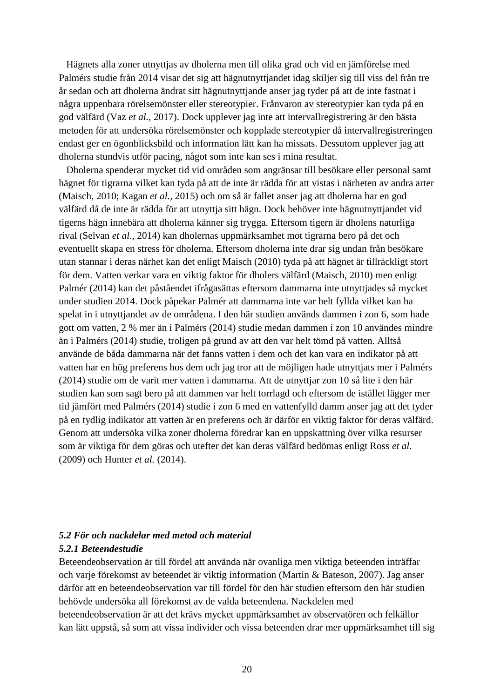Hägnets alla zoner utnyttjas av dholerna men till olika grad och vid en jämförelse med Palmérs studie från 2014 visar det sig att hägnutnyttjandet idag skiljer sig till viss del från tre år sedan och att dholerna ändrat sitt hägnutnyttjande anser jag tyder på att de inte fastnat i några uppenbara rörelsemönster eller stereotypier. Frånvaron av stereotypier kan tyda på en god välfärd (Vaz *et al.*, 2017). Dock upplever jag inte att intervallregistrering är den bästa metoden för att undersöka rörelsemönster och kopplade stereotypier då intervallregistreringen endast ger en ögonblicksbild och information lätt kan ha missats. Dessutom upplever jag att dholerna stundvis utför pacing, något som inte kan ses i mina resultat.

 Dholerna spenderar mycket tid vid områden som angränsar till besökare eller personal samt hägnet för tigrarna vilket kan tyda på att de inte är rädda för att vistas i närheten av andra arter (Maisch, 2010; Kagan *et al.,* 2015) och om så är fallet anser jag att dholerna har en god välfärd då de inte är rädda för att utnyttja sitt hägn. Dock behöver inte hägnutnyttjandet vid tigerns hägn innebära att dholerna känner sig trygga. Eftersom tigern är dholens naturliga rival (Selvan *et al.*, 2014) kan dholernas uppmärksamhet mot tigrarna bero på det och eventuellt skapa en stress för dholerna. Eftersom dholerna inte drar sig undan från besökare utan stannar i deras närhet kan det enligt Maisch (2010) tyda på att hägnet är tillräckligt stort för dem. Vatten verkar vara en viktig faktor för dholers välfärd (Maisch, 2010) men enligt Palmér (2014) kan det påståendet ifrågasättas eftersom dammarna inte utnyttjades så mycket under studien 2014. Dock påpekar Palmér att dammarna inte var helt fyllda vilket kan ha spelat in i utnyttjandet av de områdena. I den här studien används dammen i zon 6, som hade gott om vatten, 2 % mer än i Palmérs (2014) studie medan dammen i zon 10 användes mindre än i Palmérs (2014) studie, troligen på grund av att den var helt tömd på vatten. Alltså använde de båda dammarna när det fanns vatten i dem och det kan vara en indikator på att vatten har en hög preferens hos dem och jag tror att de möjligen hade utnyttjats mer i Palmérs (2014) studie om de varit mer vatten i dammarna. Att de utnyttjar zon 10 så lite i den här studien kan som sagt bero på att dammen var helt torrlagd och eftersom de istället lägger mer tid jämfört med Palmérs (2014) studie i zon 6 med en vattenfylld damm anser jag att det tyder på en tydlig indikator att vatten är en preferens och är därför en viktig faktor för deras välfärd. Genom att undersöka vilka zoner dholerna föredrar kan en uppskattning över vilka resurser som är viktiga för dem göras och utefter det kan deras välfärd bedömas enligt Ross *et al.* (2009) och Hunter *et al.* (2014).

## <span id="page-21-1"></span><span id="page-21-0"></span>*5.2 För och nackdelar med metod och material 5.2.1 Beteendestudie*

Beteendeobservation är till fördel att använda när ovanliga men viktiga beteenden inträffar och varje förekomst av beteendet är viktig information (Martin & Bateson, 2007). Jag anser därför att en beteendeobservation var till fördel för den här studien eftersom den här studien behövde undersöka all förekomst av de valda beteendena. Nackdelen med beteendeobservation är att det krävs mycket uppmärksamhet av observatören och felkällor kan lätt uppstå, så som att vissa individer och vissa beteenden drar mer uppmärksamhet till sig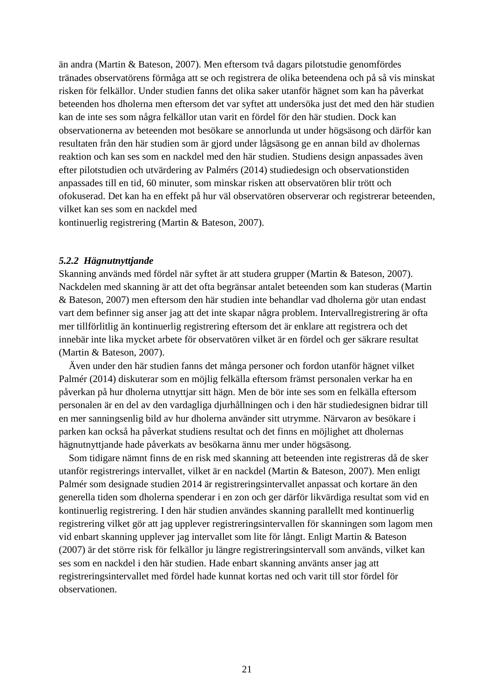än andra (Martin & Bateson, 2007). Men eftersom två dagars pilotstudie genomfördes tränades observatörens förmåga att se och registrera de olika beteendena och på så vis minskat risken för felkällor. Under studien fanns det olika saker utanför hägnet som kan ha påverkat beteenden hos dholerna men eftersom det var syftet att undersöka just det med den här studien kan de inte ses som några felkällor utan varit en fördel för den här studien. Dock kan observationerna av beteenden mot besökare se annorlunda ut under högsäsong och därför kan resultaten från den här studien som är gjord under lågsäsong ge en annan bild av dholernas reaktion och kan ses som en nackdel med den här studien. Studiens design anpassades även efter pilotstudien och utvärdering av Palmérs (2014) studiedesign och observationstiden anpassades till en tid, 60 minuter, som minskar risken att observatören blir trött och ofokuserad. Det kan ha en effekt på hur väl observatören observerar och registrerar beteenden, vilket kan ses som en nackdel med

<span id="page-22-0"></span>kontinuerlig registrering (Martin & Bateson, 2007).

## *5.2.2 Hägnutnyttjande*

Skanning används med fördel när syftet är att studera grupper (Martin & Bateson, 2007). Nackdelen med skanning är att det ofta begränsar antalet beteenden som kan studeras (Martin & Bateson, 2007) men eftersom den här studien inte behandlar vad dholerna gör utan endast vart dem befinner sig anser jag att det inte skapar några problem. Intervallregistrering är ofta mer tillförlitlig än kontinuerlig registrering eftersom det är enklare att registrera och det innebär inte lika mycket arbete för observatören vilket är en fördel och ger säkrare resultat (Martin & Bateson, 2007).

 Även under den här studien fanns det många personer och fordon utanför hägnet vilket Palmér (2014) diskuterar som en möjlig felkälla eftersom främst personalen verkar ha en påverkan på hur dholerna utnyttjar sitt hägn. Men de bör inte ses som en felkälla eftersom personalen är en del av den vardagliga djurhållningen och i den här studiedesignen bidrar till en mer sanningsenlig bild av hur dholerna använder sitt utrymme. Närvaron av besökare i parken kan också ha påverkat studiens resultat och det finns en möjlighet att dholernas hägnutnyttjande hade påverkats av besökarna ännu mer under högsäsong.

 Som tidigare nämnt finns de en risk med skanning att beteenden inte registreras då de sker utanför registrerings intervallet, vilket är en nackdel (Martin & Bateson, 2007). Men enligt Palmér som designade studien 2014 är registreringsintervallet anpassat och kortare än den generella tiden som dholerna spenderar i en zon och ger därför likvärdiga resultat som vid en kontinuerlig registrering. I den här studien användes skanning parallellt med kontinuerlig registrering vilket gör att jag upplever registreringsintervallen för skanningen som lagom men vid enbart skanning upplever jag intervallet som lite för långt. Enligt Martin & Bateson (2007) är det större risk för felkällor ju längre registreringsintervall som används, vilket kan ses som en nackdel i den här studien. Hade enbart skanning använts anser jag att registreringsintervallet med fördel hade kunnat kortas ned och varit till stor fördel för observationen.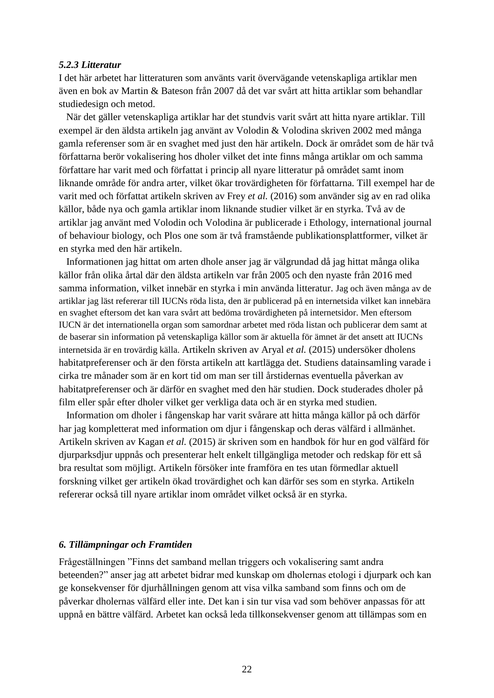#### <span id="page-23-0"></span>*5.2.3 Litteratur*

I det här arbetet har litteraturen som använts varit övervägande vetenskapliga artiklar men även en bok av Martin & Bateson från 2007 då det var svårt att hitta artiklar som behandlar studiedesign och metod.

 När det gäller vetenskapliga artiklar har det stundvis varit svårt att hitta nyare artiklar. Till exempel är den äldsta artikeln jag använt av Volodin & Volodina skriven 2002 med många gamla referenser som är en svaghet med just den här artikeln. Dock är området som de här två författarna berör vokalisering hos dholer vilket det inte finns många artiklar om och samma författare har varit med och författat i princip all nyare litteratur på området samt inom liknande område för andra arter, vilket ökar trovärdigheten för författarna. Till exempel har de varit med och författat artikeln skriven av Frey *et al.* (2016) som använder sig av en rad olika källor, både nya och gamla artiklar inom liknande studier vilket är en styrka. Två av de artiklar jag använt med Volodin och Volodina är publicerade i Ethology, international journal of behaviour biology, och Plos one som är två framstående publikationsplattformer, vilket är en styrka med den här artikeln.

 Informationen jag hittat om arten dhole anser jag är välgrundad då jag hittat många olika källor från olika årtal där den äldsta artikeln var från 2005 och den nyaste från 2016 med samma information, vilket innebär en styrka i min använda litteratur. Jag och även många av de artiklar jag läst refererar till IUCNs röda lista, den är publicerad på en internetsida vilket kan innebära en svaghet eftersom det kan vara svårt att bedöma trovärdigheten på internetsidor. Men eftersom IUCN är det internationella organ som samordnar arbetet med röda listan och publicerar dem samt at de baserar sin information på vetenskapliga källor som är aktuella för ämnet är det ansett att IUCNs internetsida är en trovärdig källa. Artikeln skriven av Aryal *et al.* (2015) undersöker dholens habitatpreferenser och är den första artikeln att kartlägga det. Studiens datainsamling varade i cirka tre månader som är en kort tid om man ser till årstidernas eventuella påverkan av habitatpreferenser och är därför en svaghet med den här studien. Dock studerades dholer på film eller spår efter dholer vilket ger verkliga data och är en styrka med studien.

 Information om dholer i fångenskap har varit svårare att hitta många källor på och därför har jag kompletterat med information om djur i fångenskap och deras välfärd i allmänhet. Artikeln skriven av Kagan *et al.* (2015) är skriven som en handbok för hur en god välfärd för djurparksdjur uppnås och presenterar helt enkelt tillgängliga metoder och redskap för ett så bra resultat som möjligt. Artikeln försöker inte framföra en tes utan förmedlar aktuell forskning vilket ger artikeln ökad trovärdighet och kan därför ses som en styrka. Artikeln refererar också till nyare artiklar inom området vilket också är en styrka.

#### <span id="page-23-1"></span>*6. Tillämpningar och Framtiden*

Frågeställningen "Finns det samband mellan triggers och vokalisering samt andra beteenden?" anser jag att arbetet bidrar med kunskap om dholernas etologi i djurpark och kan ge konsekvenser för djurhållningen genom att visa vilka samband som finns och om de påverkar dholernas välfärd eller inte. Det kan i sin tur visa vad som behöver anpassas för att uppnå en bättre välfärd. Arbetet kan också leda tillkonsekvenser genom att tillämpas som en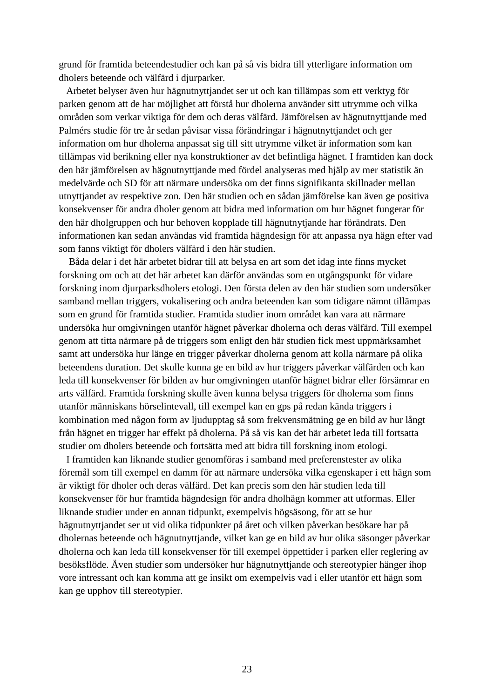grund för framtida beteendestudier och kan på så vis bidra till ytterligare information om dholers beteende och välfärd i djurparker.

 Arbetet belyser även hur hägnutnyttjandet ser ut och kan tillämpas som ett verktyg för parken genom att de har möjlighet att förstå hur dholerna använder sitt utrymme och vilka områden som verkar viktiga för dem och deras välfärd. Jämförelsen av hägnutnyttjande med Palmérs studie för tre år sedan påvisar vissa förändringar i hägnutnyttjandet och ger information om hur dholerna anpassat sig till sitt utrymme vilket är information som kan tillämpas vid berikning eller nya konstruktioner av det befintliga hägnet. I framtiden kan dock den här jämförelsen av hägnutnyttjande med fördel analyseras med hjälp av mer statistik än medelvärde och SD för att närmare undersöka om det finns signifikanta skillnader mellan utnyttjandet av respektive zon. Den här studien och en sådan jämförelse kan även ge positiva konsekvenser för andra dholer genom att bidra med information om hur hägnet fungerar för den här dholgruppen och hur behoven kopplade till hägnutnytjande har förändrats. Den informationen kan sedan användas vid framtida hägndesign för att anpassa nya hägn efter vad som fanns viktigt för dholers välfärd i den här studien.

 Båda delar i det här arbetet bidrar till att belysa en art som det idag inte finns mycket forskning om och att det här arbetet kan därför användas som en utgångspunkt för vidare forskning inom djurparksdholers etologi. Den första delen av den här studien som undersöker samband mellan triggers, vokalisering och andra beteenden kan som tidigare nämnt tillämpas som en grund för framtida studier. Framtida studier inom området kan vara att närmare undersöka hur omgivningen utanför hägnet påverkar dholerna och deras välfärd. Till exempel genom att titta närmare på de triggers som enligt den här studien fick mest uppmärksamhet samt att undersöka hur länge en trigger påverkar dholerna genom att kolla närmare på olika beteendens duration. Det skulle kunna ge en bild av hur triggers påverkar välfärden och kan leda till konsekvenser för bilden av hur omgivningen utanför hägnet bidrar eller försämrar en arts välfärd. Framtida forskning skulle även kunna belysa triggers för dholerna som finns utanför människans hörselintevall, till exempel kan en gps på redan kända triggers i kombination med någon form av ljudupptag så som frekvensmätning ge en bild av hur långt från hägnet en trigger har effekt på dholerna. På så vis kan det här arbetet leda till fortsatta studier om dholers beteende och fortsätta med att bidra till forskning inom etologi.

 I framtiden kan liknande studier genomföras i samband med preferenstester av olika föremål som till exempel en damm för att närmare undersöka vilka egenskaper i ett hägn som är viktigt för dholer och deras välfärd. Det kan precis som den här studien leda till konsekvenser för hur framtida hägndesign för andra dholhägn kommer att utformas. Eller liknande studier under en annan tidpunkt, exempelvis högsäsong, för att se hur hägnutnyttjandet ser ut vid olika tidpunkter på året och vilken påverkan besökare har på dholernas beteende och hägnutnyttjande, vilket kan ge en bild av hur olika säsonger påverkar dholerna och kan leda till konsekvenser för till exempel öppettider i parken eller reglering av besöksflöde. Även studier som undersöker hur hägnutnyttjande och stereotypier hänger ihop vore intressant och kan komma att ge insikt om exempelvis vad i eller utanför ett hägn som kan ge upphov till stereotypier.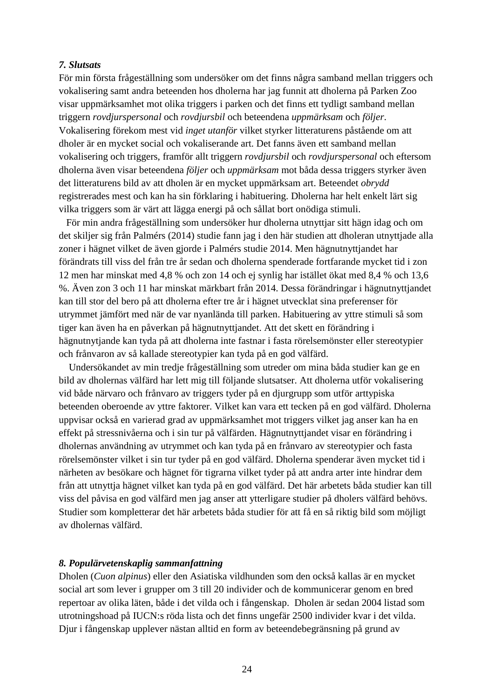#### <span id="page-25-0"></span>*7. Slutsats*

För min första frågeställning som undersöker om det finns några samband mellan triggers och vokalisering samt andra beteenden hos dholerna har jag funnit att dholerna på Parken Zoo visar uppmärksamhet mot olika triggers i parken och det finns ett tydligt samband mellan triggern *rovdjurspersonal* och *rovdjursbil* och beteendena *uppmärksam* och *följer*. Vokalisering förekom mest vid *inget utanför* vilket styrker litteraturens påstående om att dholer är en mycket social och vokaliserande art. Det fanns även ett samband mellan vokalisering och triggers, framför allt triggern *rovdjursbil* och *rovdjurspersonal* och eftersom dholerna även visar beteendena *följer* och *uppmärksam* mot båda dessa triggers styrker även det litteraturens bild av att dholen är en mycket uppmärksam art. Beteendet *obrydd* registrerades mest och kan ha sin förklaring i habituering. Dholerna har helt enkelt lärt sig vilka triggers som är värt att lägga energi på och sållat bort onödiga stimuli.

 För min andra frågeställning som undersöker hur dholerna utnyttjar sitt hägn idag och om det skiljer sig från Palmérs (2014) studie fann jag i den här studien att dholeran utnyttjade alla zoner i hägnet vilket de även gjorde i Palmérs studie 2014. Men hägnutnyttjandet har förändrats till viss del från tre år sedan och dholerna spenderade fortfarande mycket tid i zon 12 men har minskat med 4,8 % och zon 14 och ej synlig har istället ökat med 8,4 % och 13,6 %. Även zon 3 och 11 har minskat märkbart från 2014. Dessa förändringar i hägnutnyttjandet kan till stor del bero på att dholerna efter tre år i hägnet utvecklat sina preferenser för utrymmet jämfört med när de var nyanlända till parken. Habituering av yttre stimuli så som tiger kan även ha en påverkan på hägnutnyttjandet. Att det skett en förändring i hägnutnytjande kan tyda på att dholerna inte fastnar i fasta rörelsemönster eller stereotypier och frånvaron av så kallade stereotypier kan tyda på en god välfärd.

 Undersökandet av min tredje frågeställning som utreder om mina båda studier kan ge en bild av dholernas välfärd har lett mig till följande slutsatser. Att dholerna utför vokalisering vid både närvaro och frånvaro av triggers tyder på en djurgrupp som utför arttypiska beteenden oberoende av yttre faktorer. Vilket kan vara ett tecken på en god välfärd. Dholerna uppvisar också en varierad grad av uppmärksamhet mot triggers vilket jag anser kan ha en effekt på stressnivåerna och i sin tur på välfärden. Hägnutnyttjandet visar en förändring i dholernas användning av utrymmet och kan tyda på en frånvaro av stereotypier och fasta rörelsemönster vilket i sin tur tyder på en god välfärd. Dholerna spenderar även mycket tid i närheten av besökare och hägnet för tigrarna vilket tyder på att andra arter inte hindrar dem från att utnyttja hägnet vilket kan tyda på en god välfärd. Det här arbetets båda studier kan till viss del påvisa en god välfärd men jag anser att ytterligare studier på dholers välfärd behövs. Studier som kompletterar det här arbetets båda studier för att få en så riktig bild som möjligt av dholernas välfärd.

#### <span id="page-25-1"></span>*8. Populärvetenskaplig sammanfattning*

Dholen (*Cuon alpinus*) eller den Asiatiska vildhunden som den också kallas är en mycket social art som lever i grupper om 3 till 20 individer och de kommunicerar genom en bred repertoar av olika läten, både i det vilda och i fångenskap. Dholen är sedan 2004 listad som utrotningshoad på IUCN:s röda lista och det finns ungefär 2500 individer kvar i det vilda. Djur i fångenskap upplever nästan alltid en form av beteendebegränsning på grund av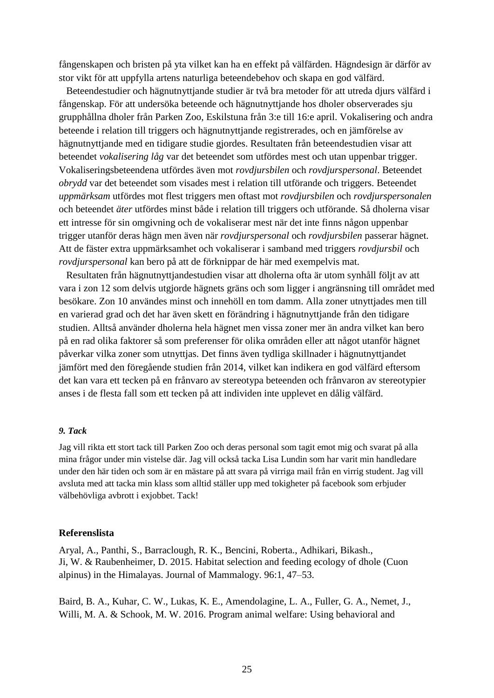fångenskapen och bristen på yta vilket kan ha en effekt på välfärden. Hägndesign är därför av stor vikt för att uppfylla artens naturliga beteendebehov och skapa en god välfärd.

 Beteendestudier och hägnutnyttjande studier är två bra metoder för att utreda djurs välfärd i fångenskap. För att undersöka beteende och hägnutnyttjande hos dholer observerades sju grupphållna dholer från Parken Zoo, Eskilstuna från 3:e till 16:e april. Vokalisering och andra beteende i relation till triggers och hägnutnyttjande registrerades, och en jämförelse av hägnutnyttjande med en tidigare studie gjordes. Resultaten från beteendestudien visar att beteendet *vokalisering låg* var det beteendet som utfördes mest och utan uppenbar trigger. Vokaliseringsbeteendena utfördes även mot *rovdjursbilen* och *rovdjurspersonal*. Beteendet *obrydd* var det beteendet som visades mest i relation till utförande och triggers. Beteendet *uppmärksam* utfördes mot flest triggers men oftast mot *rovdjursbilen* och *rovdjurspersonalen* och beteendet *äter* utfördes minst både i relation till triggers och utförande. Så dholerna visar ett intresse för sin omgivning och de vokaliserar mest när det inte finns någon uppenbar trigger utanför deras hägn men även när *rovdjurspersonal* och *rovdjursbilen* passerar hägnet. Att de fäster extra uppmärksamhet och vokaliserar i samband med triggers *rovdjursbil* och *rovdjurspersonal* kan bero på att de förknippar de här med exempelvis mat.

 Resultaten från hägnutnyttjandestudien visar att dholerna ofta är utom synhåll följt av att vara i zon 12 som delvis utgjorde hägnets gräns och som ligger i angränsning till området med besökare. Zon 10 användes minst och innehöll en tom damm. Alla zoner utnyttjades men till en varierad grad och det har även skett en förändring i hägnutnyttjande från den tidigare studien. Alltså använder dholerna hela hägnet men vissa zoner mer än andra vilket kan bero på en rad olika faktorer så som preferenser för olika områden eller att något utanför hägnet påverkar vilka zoner som utnyttjas. Det finns även tydliga skillnader i hägnutnyttjandet jämfört med den föregående studien från 2014, vilket kan indikera en god välfärd eftersom det kan vara ett tecken på en frånvaro av stereotypa beteenden och frånvaron av stereotypier anses i de flesta fall som ett tecken på att individen inte upplevet en dålig välfärd.

#### <span id="page-26-0"></span>*9. Tack*

Jag vill rikta ett stort tack till Parken Zoo och deras personal som tagit emot mig och svarat på alla mina frågor under min vistelse där. Jag vill också tacka Lisa Lundin som har varit min handledare under den här tiden och som är en mästare på att svara på virriga mail från en virrig student. Jag vill avsluta med att tacka min klass som alltid ställer upp med tokigheter på facebook som erbjuder välbehövliga avbrott i exjobbet. Tack!

#### <span id="page-26-1"></span>**Referenslista**

Aryal, A., Panthi, S., Barraclough, R. K., Bencini, Roberta., Adhikari, Bikash., Ji, W. & Raubenheimer, D. 2015. Habitat selection and feeding ecology of dhole (Cuon alpinus) in the Himalayas. Journal of Mammalogy. 96:1, 47–53.

Baird, B. A., Kuhar, C. W., Lukas, K. E., Amendolagine, L. A., Fuller, G. A., Nemet, J., Willi, M. A. & Schook, M. W. 2016. Program animal welfare: Using behavioral and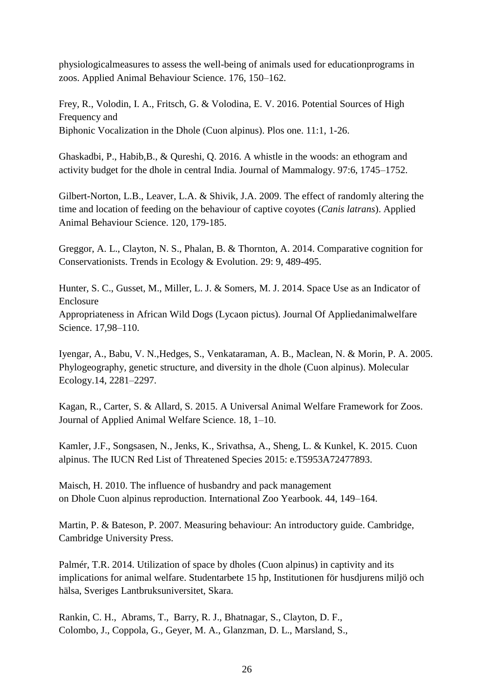physiologicalmeasures to assess the well-being of animals used for educationprograms in zoos. Applied Animal Behaviour Science. 176, 150–162.

Frey, R., Volodin, I. A., Fritsch, G. & Volodina, E. V. 2016. Potential Sources of High Frequency and Biphonic Vocalization in the Dhole (Cuon alpinus). Plos one. 11:1, 1-26.

Ghaskadbi, P., Habib,B., & Qureshi, Q. 2016. A whistle in the woods: an ethogram and activity budget for the dhole in central India. Journal of Mammalogy. 97:6, 1745–1752.

Gilbert-Norton, L.B., Leaver, L.A. & Shivik, J.A. 2009. The effect of randomly altering the time and location of feeding on the behaviour of captive coyotes (*Canis latrans*). Applied Animal Behaviour Science. 120, 179-185.

Greggor, A. L., Clayton, N. S., Phalan, B. & Thornton, A. 2014. Comparative cognition for Conservationists. Trends in Ecology & Evolution. 29: 9, 489-495.

Hunter, S. C., Gusset, M., Miller, L. J. & Somers, M. J. 2014. Space Use as an Indicator of Enclosure

Appropriateness in African Wild Dogs (Lycaon pictus). Journal Of Appliedanimalwelfare Science. 17,98–110.

Iyengar, A., Babu, V. N.,Hedges, S., Venkataraman, A. B., Maclean, N. & Morin, P. A. 2005. Phylogeography, genetic structure, and diversity in the dhole (Cuon alpinus). Molecular Ecology.14, 2281–2297.

Kagan, R., Carter, S. & Allard, S. 2015. A Universal Animal Welfare Framework for Zoos. Journal of Applied Animal Welfare Science. 18, 1–10.

Kamler, J.F., Songsasen, N., Jenks, K., Srivathsa, A., Sheng, L. & Kunkel, K. 2015. Cuon alpinus. The IUCN Red List of Threatened Species 2015: e.T5953A72477893.

Maisch, H. 2010. The influence of husbandry and pack management on Dhole Cuon alpinus reproduction. International Zoo Yearbook. 44, 149–164.

Martin, P. & Bateson, P. 2007. Measuring behaviour: An introductory guide. Cambridge, Cambridge University Press.

Palmér, T.R. 2014. Utilization of space by dholes (Cuon alpinus) in captivity and its implications for animal welfare. Studentarbete 15 hp, Institutionen för husdjurens miljö och hälsa, Sveriges Lantbruksuniversitet, Skara.

Rankin, C. H., Abrams, T., Barry, R. J., Bhatnagar, S., Clayton, D. F., Colombo, J., Coppola, G., Geyer, M. A., Glanzman, D. L., Marsland, S.,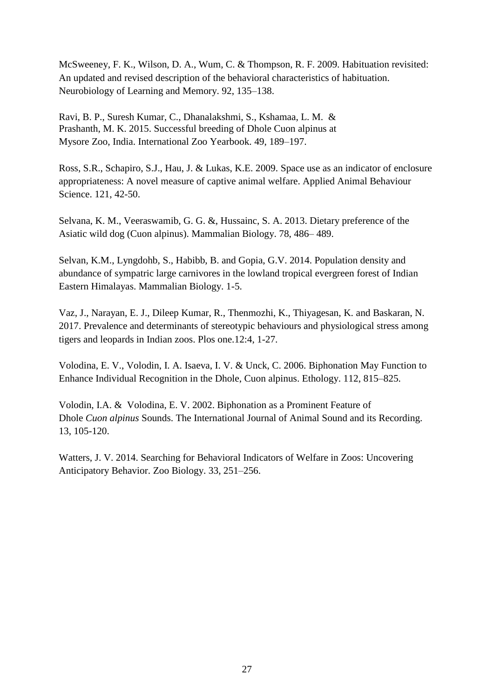McSweeney, F. K., Wilson, D. A., Wum, C. & Thompson, R. F. 2009. Habituation revisited: An updated and revised description of the behavioral characteristics of habituation. Neurobiology of Learning and Memory. 92, 135–138.

Ravi, B. P., Suresh Kumar, C., Dhanalakshmi, S., Kshamaa, L. M. & Prashanth, M. K. 2015. Successful breeding of Dhole Cuon alpinus at Mysore Zoo, India. International Zoo Yearbook. 49, 189–197.

Ross, S.R., Schapiro, S.J., Hau, J. & Lukas, K.E. 2009. Space use as an indicator of enclosure appropriateness: A novel measure of captive animal welfare. Applied Animal Behaviour Science. 121, 42-50.

Selvana, K. M., Veeraswamib, G. G. &, Hussainc, S. A. 2013. Dietary preference of the Asiatic wild dog (Cuon alpinus). Mammalian Biology. 78, 486– 489.

Selvan, K.M., Lyngdohb, S., Habibb, B. and Gopia, G.V. 2014. Population density and abundance of sympatric large carnivores in the lowland tropical evergreen forest of Indian Eastern Himalayas. Mammalian Biology. 1-5.

Vaz, J., Narayan, E. J., Dileep Kumar, R., Thenmozhi, K., Thiyagesan, K. and Baskaran, N. 2017. Prevalence and determinants of stereotypic behaviours and physiological stress among tigers and leopards in Indian zoos. Plos one.12:4, 1-27.

Volodina, E. V., Volodin, I. A. Isaeva, I. V. & Unck, C. 2006. Biphonation May Function to Enhance Individual Recognition in the Dhole, Cuon alpinus. Ethology. 112, 815–825.

Volodin, I.A. & Volodina, E. V. 2002. Biphonation as a Prominent Feature of Dhole *Cuon alpinus* Sounds. The International Journal of Animal Sound and its Recording. 13, 105-120.

Watters, J. V. 2014. Searching for Behavioral Indicators of Welfare in Zoos: Uncovering Anticipatory Behavior. Zoo Biology. 33, 251–256.